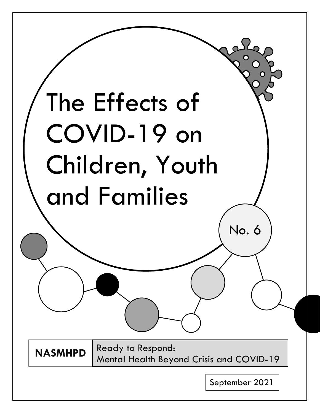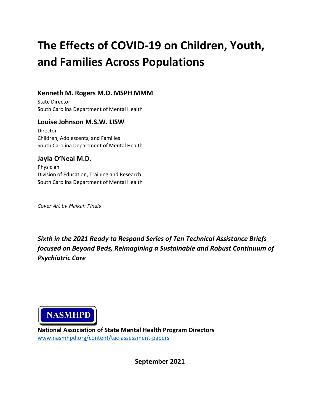# **The Effects of COVID-19 on Children, Youth, and Families Across Populations**

# **Kenneth M. Rogers M.D. MSPH MMM**

State Director South Carolina Department of Mental Health

### **Louise Johnson M.S.W. LISW**

Director Children, Adolescents, and Families South Carolina Department of Mental Health

# **Jayla O'Neal M.D.**

Physician Division of Education, Training and Research South Carolina Department of Mental Health

*Cover Art by Malkah Pinals*

*Sixth in the 2021 Ready to Respond Series of Ten Technical Assistance Briefs focused on Beyond Beds, Reimagining a Sustainable and Robust Continuum of Psychiatric Care*



**National Association of State Mental Health Program Directors** [www.nasmhpd.org/content/tac-assessment-papers](http://www.nasmhpd.org/content/tac-assessment-papers)

**September 2021**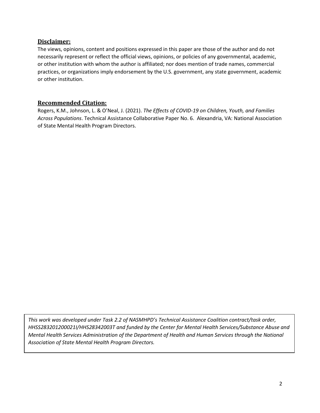#### **Disclaimer:**

The views, opinions, content and positions expressed in this paper are those of the author and do not necessarily represent or reflect the official views, opinions, or policies of any governmental, academic, or other institution with whom the author is affiliated; nor does mention of trade names, commercial practices, or organizations imply endorsement by the U.S. government, any state government, academic or other institution.

#### **Recommended Citation:**

Rogers, K.M., Johnson, L. & O'Neal, J. (2021). *The Effects of COVID-19 on Children, Youth, and Families Across Populations*. Technical Assistance Collaborative Paper No. 6. Alexandria, VA: National Association of State Mental Health Program Directors.

*This work was developed under Task 2.2 of NASMHPD's Technical Assistance Coalition contract/task order, HHSS283201200021I/HHS28342003T and funded by the Center for Mental Health Services/Substance Abuse and Mental Health Services Administration of the Department of Health and Human Services through the National Association of State Mental Health Program Directors.*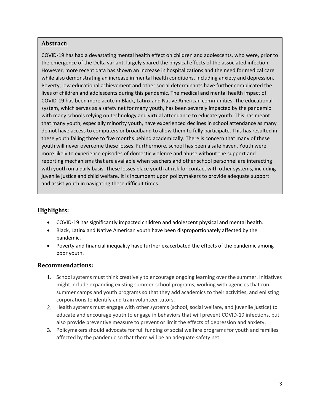#### **Abstract:**

COVID-19 has had a devastating mental health effect on children and adolescents, who were, prior to the emergence of the Delta variant, largely spared the physical effects of the associated infection. However, more recent data has shown an increase in hospitalizations and the need for medical care while also demonstrating an increase in mental health conditions, including anxiety and depression. Poverty, low educational achievement and other social determinants have further complicated the lives of children and adolescents during this pandemic. The medical and mental health impact of COVID-19 has been more acute in Black, Latinx and Native American communities. The educational system, which serves as a safety net for many youth, has been severely impacted by the pandemic with many schools relying on technology and virtual attendance to educate youth. This has meant that many youth, especially minority youth, have experienced declines in school attendance as many do not have access to computers or broadband to allow them to fully participate. This has resulted in these youth falling three to five months behind academically. There is concern that many of these youth will never overcome these losses. Furthermore, school has been a safe haven. Youth were more likely to experience episodes of domestic violence and abuse without the support and reporting mechanisms that are available when teachers and other school personnel are interacting with youth on a daily basis. These losses place youth at risk for contact with other systems, including juvenile justice and child welfare. It is incumbent upon policymakers to provide adequate support and assist youth in navigating these difficult times.

## **Highlights:**

- COVID-19 has significantly impacted children and adolescent physical and mental health.
- Black, Latinx and Native American youth have been disproportionately affected by the pandemic.
- Poverty and financial inequality have further exacerbated the effects of the pandemic among poor youth.

#### **Recommendations:**

- 1. School systems must think creatively to encourage ongoing learning over the summer. Initiatives might include expanding existing summer-school programs, working with agencies that run summer camps and youth programs so that they add academics to their activities, and enlisting corporations to identify and train volunteer tutors.
- 2. Health systems must engage with other systems (school, social welfare, and juvenile justice) to educate and encourage youth to engage in behaviors that will prevent COVID-19 infections, but also provide preventive measure to prevent or limit the effects of depression and anxiety.
- 3. Policymakers should advocate for full funding of social welfare programs for youth and families affected by the pandemic so that there will be an adequate safety net.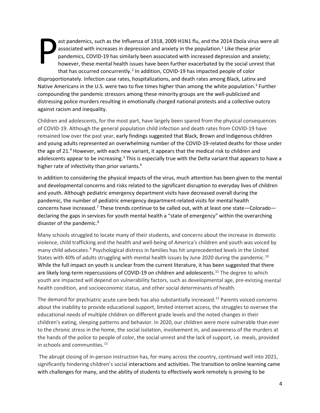P ast pandemics, such as the Influenza of 1918, 2009 H1N1 flu, and the 2014 Ebola virus were all associated with increases in depression and anxiety in the population. <sup>1</sup> Like these prior pandemics, COVID-19 has similarly been associated with increased depression and anxiety; however, these mental health issues have been further exacerbated by the social unrest that that has occurred concurrently.2 In addition, COVID-19 has impacted people of color disproportionately. Infection case rates, hospitalizations, and death rates among Black, Latinx and Native Americans in the U.S. were two to five times higher than among the white population.<sup>3</sup> Further compounding the pandemic stressors among these minority groups are the well-publicized and distressing police murders resulting in emotionally charged national protests and a collective outcry against racism and inequality.

Children and adolescents, for the most part, have largely been spared from the physical consequences of COVID-19. Although the general population child infection and death rates from COVID-19 have remained low over the past year, early findings suggested that Black, Brown and Indigenous children and young adults represented an overwhelming number of the COVID-19-related deaths for those under the age of 21.4 However, with each new variant, it appears that the medical risk to children and adolescents appear to be increasing.<sup>5</sup> This is especially true with the Delta variant that appears to have a higher rate of infectivity than prior variants.<sup>6</sup>

In addition to considering the physical impacts of the virus, much attention has been given to the mental and developmental concerns and risks related to the significant disruption to everyday lives of children and youth. Although pediatric emergency department visits have decreased overall during the pandemic, the number of pediatric emergency department-related visits for mental health concerns have increased.<sup>7</sup> These trends continue to be called out, with at least one state—Colorado declaring the gaps in services for youth mental health a "state of emergency" within the overarching disaster of the pandemic.<sup>8</sup>

Many schools struggled to locate many of their students, and concerns about the increase in domestic violence, child trafficking and the health and well-being of America's children and youth was voiced by many child advocates.9 Psychological distress in families has hit unprecedented levels in the United States with 40% of adults struggling with mental health issues by June 2020 during the pandemic.<sup>10</sup> While the full impact on youth is unclear from the current literature, it has been suggested that there are likely long-term repercussions of COVID-19 on children and adolescents.<sup>11</sup> The degree to which youth are impacted will depend on vulnerability factors, such as developmental age, pre-existing mental health condition, and socioeconomic status, and other social determinants of health.

The demand for psychiatric acute care beds has also substantially increased.<sup>12</sup> Parents voiced concerns about the inability to provide educational support, limited internet access, the struggles to oversee the educational needs of multiple children on different grade levels and the noted changes in their children's eating, sleeping patterns and behavior. In 2020, our children were more vulnerable than ever to the chronic stress in the home, the social isolation, involvement in, and awareness of the murders at the hands of the police to people of color, the social unrest and the lack of support, i.e. meals, provided in schools and communities.<sup>13</sup>

The abrupt closing of in-person instruction has, for many across the country, continued well into 2021, significantly hindering children's social interactions and activities. The transition to online learning came with challenges for many, and the ability of students to effectively work remotely is proving to be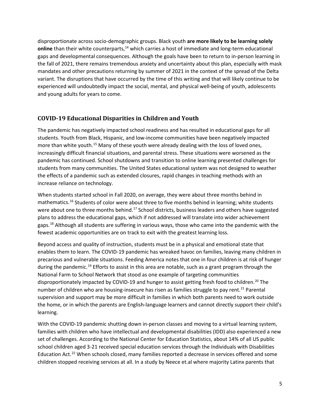disproportionate across socio-demographic groups. Black youth **are [more likely to be learning solely](https://www.brookings.edu/blog/how-we-rise/2020/09/23/students-of-color-most-likely-to-be-learning-online-districts-must-work-even-harder-on-race-equity/) [online](https://www.brookings.edu/blog/how-we-rise/2020/09/23/students-of-color-most-likely-to-be-learning-online-districts-must-work-even-harder-on-race-equity/)** than their white counterparts,<sup>14</sup> which carries a host of immediate and long-term educational gaps and developmental consequences. Although the goals have been to return to in-person learning in the fall of 2021, there remains tremendous anxiety and uncertainty about this plan, especially with mask mandates and other precautions returning by summer of 2021 in the context of the spread of the Delta variant. The disruptions that have occurred by the time of this writing and that will likely continue to be experienced will undoubtedly impact the social, mental, and physical well-being of youth, adolescents and young adults for years to come.

### **COVID-19 Educational Disparities in Children and Youth**

The pandemic has negatively impacted school readiness and has resulted in educational gaps for all students. Youth from Black, Hispanic, and low-income communities have been negatively impacted more than white youth.<sup>15</sup> Many of these youth were already dealing with the loss of loved ones, increasingly difficult financial situations, and parental stress. These situations were worsened as the pandemic has continued. School shutdowns and transition to online learning presented challenges for students from many communities. The United States educational system was not designed to weather the effects of a pandemic such as extended closures, rapid changes in teaching methods with an increase reliance on technology.

When students started school in Fall 2020, on average, they were about three months behind in mathematics.<sup>16</sup> Students of color were about three to five months behind in learning; white students were about one to three months behind.<sup>17</sup> School districts, business leaders and others have suggested plans to address the educational gaps, which if not addressed will translate into wider achievement gaps.<sup>18</sup> Although all students are suffering in various ways, those who came into the pandemic with the fewest academic opportunities are on track to exit with the greatest learning loss.

Beyond access and quality of instruction, students must be in a physical and emotional state that enables them to learn. The COVID-19 pandemic has wreaked havoc on families, leaving many children in precarious and vulnerable situations. Feeding America notes that one in four children is at risk of hunger during the pandemic.<sup>19</sup> Efforts to assist in this area are notable, such as a grant program through the National Farm to School Network that stood as one example of targeting communities disproportionately impacted by COVID-19 and hunger to assist getting fresh food to children.<sup>20</sup> The number of children who are housing-insecure has risen as families struggle to pay rent.<sup>21</sup> Parental supervision and support may be more difficult in families in which both parents need to work outside the home, or in which the parents are English-language learners and cannot directly support their child's learning.

With the COVID-19 pandemic shutting down in-person classes and moving to a virtual learning system, families with children who have intellectual and developmental disabilities (IDD) also experienced a new set of challenges. According to the National Center for Education Statistics, about 14% of all US public school children aged 3-21 received special education services through the Individuals with Disabilities Education Act.<sup>22</sup> When schools closed, many families reported a decrease in services offered and some children stopped receiving services at all. In a study by Neece et.al where majority Latinx parents that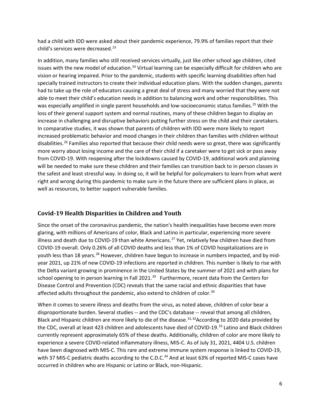had a child with IDD were asked about their pandemic experience, 79.9% of families report that their child's services were decreased.<sup>23</sup>

In addition, many families who still received services virtually, just like other school age children, cited issues with the new model of education.<sup>24</sup> Virtual learning can be especially difficult for children who are vision or hearing impaired. Prior to the pandemic, students with specific learning disabilities often had specially trained instructors to create their individual education plans. With the sudden changes, parents had to take up the role of educators causing a great deal of stress and many worried that they were not able to meet their child's education needs in addition to balancing work and other responsibilities. This was especially amplified in single parent households and low-socioeconomic status families.<sup>25</sup> With the loss of their general support system and normal routines, many of these children began to display an increase in challenging and disruptive behaviors putting further stress on the child and their caretakers. In comparative studies, it was shown that parents of children with IDD were more likely to report increased problematic behavior and mood changes in their children than families with children without disabilities.<sup>26</sup> Families also reported that because their child needs were so great, there was significantly more worry about losing income and the care of their child if a caretaker were to get sick or pass away from COVID-19. With reopening after the lockdowns caused by COVID-19, additional work and planning will be needed to make sure these children and their families can transition back to in person classes in the safest and least stressful way. In doing so, it will be helpful for policymakers to learn from what went right and wrong during this pandemic to make sure in the future there are sufficient plans in place, as well as resources, to better support vulnerable families.

#### **Covid-19 Health Disparities in Children and Youth**

Since the onset of the coronavirus pandemic, the nation's health inequalities have become even more glaring, with millions of Americans of color, Black and Latino in particular, experiencing more severe illness and death due to COVID-19 than white Americans.<sup>27</sup> Yet, relatively few children have died from COVID-19 overall. Only 0.26% of all COVID deaths and less than 1% of COVID hospitalizations are in youth less than 18 years.<sup>28</sup> However, children have begun to increase in numbers impacted, and by midyear 2021, up 21% of new COVID-19 infections are reported in children. This number is likely to rise with the Delta variant growing in prominence in the United States by the summer of 2021 and with plans for school opening to in person learning in Fall 2021.<sup>29</sup> Furthermore, recent data from the Centers for Disease Control and Prevention (CDC) reveals that the same racial and ethnic disparities that have affected adults throughout the pandemic, also extend to children of color.<sup>30</sup>

When it comes to severe illness and deaths from the virus, as noted above, children of color bear a disproportionate burden. Several studies -- and the CDC's database -- reveal that among all children, Black and Hispanic children are more likely to die of the disease.<sup>31,32</sup>According to 2020 data provided by the CDC, overall at least 423 children and adolescents have died of COVID-19.<sup>33</sup> Latino and Black children currently represent approximately 65% of these deaths. Additionally, children of color are more likely to experience a severe COVID-related inflammatory illness, MIS-C. As of July 31, 2021, 4404 U.S. children have been diagnosed with MIS-C. This rare and extreme immune system response is linked to COVID-19, with 37 MIS-C pediatric deaths according to the C.D.C.<sup>34</sup> And at least 63% of reported MIS-C cases have occurred in children who are Hispanic or Latino or Black, non-Hispanic.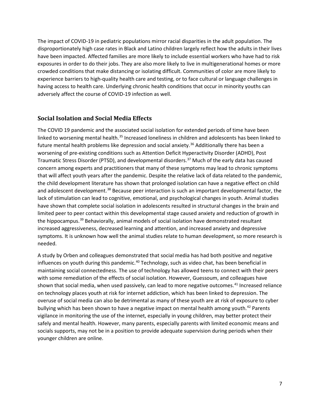The impact of COVID-19 in pediatric populations mirror racial disparities in the adult population. The disproportionately high case rates in Black and Latino children largely reflect how the adults in their lives have been impacted. Affected families are more likely to include essential workers who have had to risk exposures in order to do their jobs. They are also more likely to live in multigenerational homes or more crowded conditions that make distancing or isolating difficult. Communities of color are more likely to experience barriers to high-quality health care and testing, or to face cultural or language challenges in having access to health care. Underlying chronic health conditions that occur in minority youths can adversely affect the course of COVID-19 infection as well.

#### **Social Isolation and Social Media Effects**

The COVID 19 pandemic and the associated social isolation for extended periods of time have been linked to worsening mental health.<sup>35</sup> Increased loneliness in children and adolescents has been linked to future mental health problems like depression and social anxiety.<sup>36</sup> Additionally there has been a worsening of pre-existing conditions such as Attention Deficit Hyperactivity Disorder (ADHD), Post Traumatic Stress Disorder (PTSD), and developmental disorders.37 Much of the early data has caused concern among experts and practitioners that many of these symptoms may lead to chronic symptoms that will affect youth years after the pandemic. Despite the relative lack of data related to the pandemic, the child development literature has shown that prolonged isolation can have a negative effect on child and adolescent development.<sup>38</sup> Because peer interaction is such an important developmental factor, the lack of stimulation can lead to cognitive, emotional, and psychological changes in youth. Animal studies have shown that complete social isolation in adolescents resulted in structural changes in the brain and limited peer to peer contact within this developmental stage caused anxiety and reduction of growth in the hippocampus.<sup>39</sup> Behaviorally, animal models of social isolation have demonstrated resultant increased aggressiveness, decreased learning and attention, and increased anxiety and depressive symptoms. It is unknown how well the animal studies relate to human development, so more research is needed.

A study by Orben and colleagues demonstrated that social media has had both positive and negative influences on youth during this pandemic. $40$  Technology, such as video chat, has been beneficial in maintaining social connectedness. The use of technology has allowed teens to connect with their peers with some remediation of the effects of social isolation. However, Guessoum, and colleagues have shown that social media, when used passively, can lead to more negative outcomes.<sup>41</sup> Increased reliance on technology places youth at risk for internet addiction, which has been linked to depression. The overuse of social media can also be detrimental as many of these youth are at risk of exposure to cyber bullying which has been shown to have a negative impact on mental health among youth.<sup>42</sup> Parents vigilance in monitoring the use of the internet, especially in young children, may better protect their safely and mental health. However, many parents, especially parents with limited economic means and socials supports, may not be in a position to provide adequate supervision during periods when their younger children are online.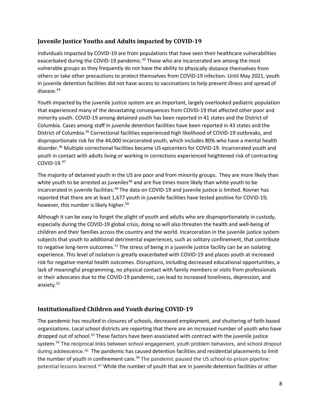### **Juvenile Justice Youths and Adults impacted by COVID-19**

Individuals impacted by COVID-19 are from populations that have seen their healthcare vulnerabilities exacerbated during the COVID-19 pandemic.<sup>43</sup> Those who are incarcerated are among the most vulnerable groups as they frequently do not have the ability to physically distance themselves from others or take other precautions to protect themselves from COVID-19 infection. Until May 2021, youth in juvenile detention facilities did not have access to vaccinations to help prevent illness and spread of disease.<sup>44</sup>

Youth impacted by the juvenile justice system are an important, largely overlooked pediatric population that experienced many of the devastating consequences from COVID-19 that affected other poor and minority youth. COVID-19 among detained youth has been reported in 41 states and the District of Columbia. Cases among staff in juvenile detention facilities have been reported in 43 states and the District of Columbia.<sup>45</sup> Correctional facilities experienced high likelihood of COVID-19 outbreaks, and disproportionate risk for the 44,000 incarcerated youth, which includes 80% who have a mental health disorder.46 Multiple correctional facilities became US epicenters for COVID-19. Incarcerated youth and youth in contact with adults living or working in corrections experienced heightened risk of contracting COVID-19. $47$ 

The majority of detained youth in the US are poor and from minority groups. They are more likely than white youth to be arrested as juveniles<sup>48</sup> and are five times more likely than white youth to be incarcerated in juvenile facilities.<sup>49</sup> The data on COVID-19 and juvenile justice is limited. Rovner has reported that there are at least 1,677 youth in juvenile facilities have tested positive for COVID-19; however, this number is likely higher.<sup>50</sup>

Although it can be easy to forget the plight of youth and adults who are disproportionately in custody, especially during the COVID-19 global crisis, doing so will also threaten the health and well-being of children and their families across the country and the world. Incarceration in the juvenile justice system subjects that youth to additional detrimental experiences, such as solitary confinement, that contribute to negative long-term outcomes.<sup>51</sup> The stress of being in a juvenile justice facility can be an isolating experience. This level of isolation is greatly exacerbated with COVID-19 and places youth at increased risk for negative mental health outcomes. Disruptions, including decreased educational opportunities, a lack of meaningful programming, no physical contact with family members or visits from professionals or their advocates due to the COVID-19 pandemic, can lead to increased loneliness, depression, and anxiety. 52

# **Institutionalized Children and Youth during COVID-19**

The pandemic has resulted in closures of schools, decreased employment, and shuttering of faith-based organizations. Local school districts are reporting that there are an increased number of youth who have dropped out of school.<sup>53</sup> These factors have been associated with contract with the juvenile justice system.<sup>54</sup> The reciprocal links between school engagement, youth problem behaviors, and school dropout during adolescence.55 The pandemic has caused detention facilities and residential placements to limit the number of youth in confinement care.<sup>56</sup> The pandemic paused the US school-to-prison pipeline: potential lessons learned.<sup>57</sup> While the number of youth that are in juvenile detention facilities or other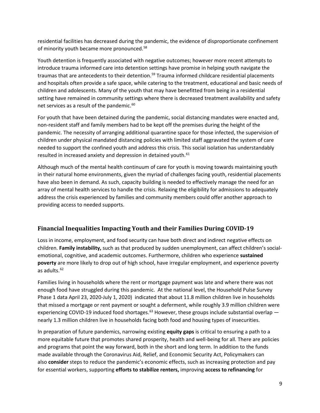residential facilities has decreased during the pandemic, the evidence of disproportionate confinement of minority youth became more pronounced.<sup>58</sup>

Youth detention is frequently associated with negative outcomes; however more recent attempts to introduce trauma informed care into detention settings have promise in helping youth navigate the traumas that are antecedents to their detention.<sup>59</sup> Trauma informed childcare residential placements and hospitals often provide a safe space, while catering to the treatment, educational and basic needs of children and adolescents. Many of the youth that may have benefitted from being in a residential setting have remained in community settings where there is decreased treatment availability and safety net services as a result of the pandemic.<sup>60</sup>

For youth that have been detained during the pandemic, social distancing mandates were enacted and, non-resident staff and family members had to be kept off the premises during the height of the pandemic. The necessity of arranging additional quarantine space for those infected, the supervision of children under physical mandated distancing policies with limited staff aggravated the system of care needed to support the confined youth and address this crisis. This social isolation has understandably resulted in increased anxiety and depression in detained youth.<sup>61</sup>

Although much of the mental health continuum of care for youth is moving towards maintaining youth in their natural home environments, given the myriad of challenges facing youth, residential placements have also been in demand. As such, capacity building is needed to effectively manage the need for an array of mental health services to handle the crisis. Relaxing the eligibility for admissions to adequately address the crisis experienced by families and community members could offer another approach to providing access to needed supports.

# **Financial Inequalities Impacting Youth and their Families During COVID-19**

Loss in income, employment, and food security can have both direct and indirect negative effects on children. **[Family instability,](https://www.urban.org/node/32706)** such as that produced by sudden unemployment, can affect children's socialemotional, cognitive, and academic outcomes. Furthermore, children who experience **[sustained](https://www.urban.org/node/32756) [poverty](https://www.urban.org/node/32756)** are more likely to drop out of high school, have irregular employment, and experience poverty as adults. $62$ 

Families living in households where the rent or mortgage payment was late and where there was not enough food have struggled during this pandemic. At the national level, the Household Pulse Survey Phase 1 data April 23, 2020-July 1, 2020) indicated that about 11.8 million children live in households that missed a mortgage or rent payment or sought a deferment, while roughly 3.9 million children were experiencing COVID-19 induced food shortages.<sup>63</sup> However, these groups include substantial overlap  $$ nearly 1.3 million children live in households facing both food and housing types of insecurities.

In preparation of future pandemics, narrowing existing **[equity gaps](https://next50.urban.org/question/structural-racism)** is critical to ensuring a path to a more equitable future that promotes shared prosperity, health and well-being for all. There are policies and programs that point the way forward, both in the short and long term. In addition to the funds made available through the Coronavirus Aid, Relief, and Economic Security Act, Policymakers can also **[consider](https://www.urban.org/node/102179)** steps to reduce the pandemic's economic effects, such as increasing protection and pay for essential workers, supporting **[efforts to stabilize renters,](https://www.urban.org/node/102720)** improving **[access to refinancing](https://www.urban.org/node/102055)** for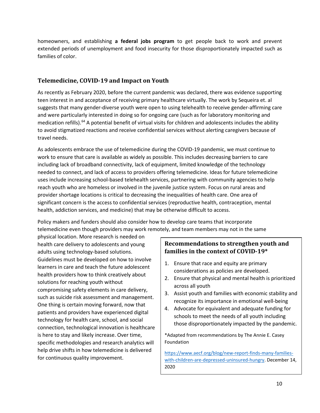homeowners, and establishing **[a federal jobs program](https://www.urban.org/node/101963)** to get people back to work and prevent extended periods of unemployment and food insecurity for those disproportionately impacted such as families of color.

### **Telemedicine, COVID-19 and Impact on Youth**

As recently as February 2020, before the current pandemic was declared, there was evidence supporting teen interest in and acceptance of receiving primary healthcare virtually. The work by Sequeira et. al suggests that many gender-diverse youth were open to using telehealth to receive gender-affirming care and were particularly interested in doing so for ongoing care (such as for laboratory monitoring and medication refills).<sup>64</sup> A potential benefit of virtual visits for children and adolescents includes the ability to avoid stigmatized reactions and receive confidential services without alerting caregivers because of travel needs.

As adolescents embrace the use of telemedicine during the COVID-19 pandemic, we must continue to work to ensure that care is available as widely as possible. This includes decreasing barriers to care including lack of broadband connectivity, lack of equipment, limited knowledge of the technology needed to connect, and lack of access to providers offering telemedicine. Ideas for future telemedicine uses include increasing school-based telehealth services, partnering with community agencies to help reach youth who are homeless or involved in the juvenile justice system. Focus on rural areas and provider shortage locations is critical to decreasing the inequalities of health care. One area of significant concern is the access to confidential services (reproductive health, contraception, mental health, addiction services, and medicine) that may be otherwise difficult to access.

Policy makers and funders should also consider how to develop care teams that incorporate telemedicine even though providers may work remotely, and team members may not in the same

physical location. More research is needed on health care delivery to adolescents and young adults using technology-based solutions. Guidelines must be developed on how to involve learners in care and teach the future adolescent health providers how to think creatively about solutions for reaching youth without compromising safety elements in care delivery, such as suicide risk assessment and management. One thing is certain moving forward, now that patients and providers have experienced digital technology for health care, school, and social connection, technological innovation is healthcare is here to stay and likely increase. Over time, specific methodologies and research analytics will help drive shifts in how telemedicine is delivered for continuous quality improvement.

# **Recommendations to strengthen youth and families in the context of COVID-19\***

- 1. Ensure that race and equity are primary considerations as policies are developed.
- 2. Ensure that physical and mental health is prioritized across all youth
- 3. Assist youth and families with economic stability and recognize its importance in emotional well-being
- 4. Advocate for equivalent and adequate funding for schools to meet the needs of all youth including those disproportionately impacted by the pandemic.

\*Adapted from recommendations by The Annie E. Casey Foundation

[https://www.aecf.org/blog/new-report-finds-many-families](https://www.aecf.org/blog/new-report-finds-many-families-with-children-are-depressed-uninsured-hungry)[with-children-are-depressed-uninsured-hungry.](https://www.aecf.org/blog/new-report-finds-many-families-with-children-are-depressed-uninsured-hungry) December 14, 2020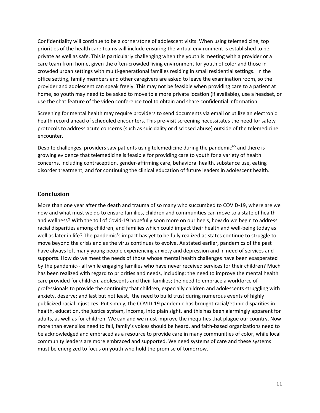Confidentiality will continue to be a cornerstone of adolescent visits. When using telemedicine, top priorities of the health care teams will include ensuring the virtual environment is established to be private as well as safe. This is particularly challenging when the youth is meeting with a provider or a care team from home, given the often-crowded living environment for youth of color and those in crowded urban settings with multi-generational families residing in small residential settings. In the office setting, family members and other caregivers are asked to leave the examination room, so the provider and adolescent can speak freely. This may not be feasible when providing care to a patient at home, so youth may need to be asked to move to a more private location (if available), use a headset, or use the chat feature of the video conference tool to obtain and share confidential information.

Screening for mental health may require providers to send documents via email or utilize an electronic health record ahead of scheduled encounters. This pre-visit screening necessitates the need for safety protocols to address acute concerns (such as suicidality or disclosed abuse) outside of the telemedicine encounter.

Despite challenges, providers saw patients using telemedicine during the pandemic<sup>65</sup> and there is growing evidence that telemedicine is feasible for providing care to youth for a variety of health concerns, including contraception, gender-affirming care, behavioral health, substance use, eating disorder treatment, and for continuing the clinical education of future leaders in adolescent health.

#### **Conclusion**

More than one year after the death and trauma of so many who succumbed to COVID-19, where are we now and what must we do to ensure families, children and communities can move to a state of health and wellness? With the toll of Covid-19 hopefully soon more on our heels, how do we begin to address racial disparities among children, and families which could impact their health and well-being today as well as later in life? The pandemic's impact has yet to be fully realized as states continue to struggle to move beyond the crisis and as the virus continues to evolve. As stated earlier, pandemics of the past have always left many young people experiencing anxiety and depression and in need of services and supports. How do we meet the needs of those whose mental health challenges have been exasperated by the pandemic-- all while engaging families who have never received services for their children? Much has been realized with regard to priorities and needs, including: the need to improve the mental health care provided for children, adolescents and their families; the need to embrace a workforce of professionals to provide the continuity that children, especially children and adolescents struggling with anxiety, deserve; and last but not least, the need to build trust during numerous events of highly publicized racial injustices. Put simply, the COVID-19 pandemic has brought racial/ethnic disparities in health, education, the justice system, income, into plain sight, and this has been alarmingly apparent for adults, as well as for children. We can and we must improve the inequities that plague our country. Now more than ever silos need to fall, family's voices should be heard, and faith-based organizations need to be acknowledged and embraced as a resource to provide care in many communities of color, while local community leaders are more embraced and supported. We need systems of care and these systems must be energized to focus on youth who hold the promise of tomorrow.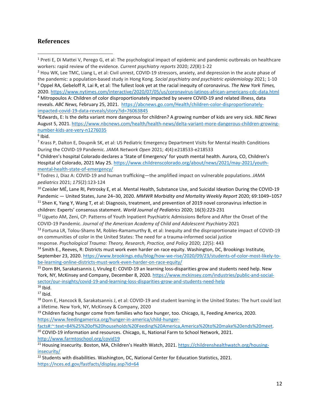#### **References**

**5** Edwards, E: Is the delta variant more dangerous for children? A growing number of kids are very sick. *NBC News* August 5, 2021[. https://www.nbcnews.com/health/health-news/delta-variant-more-dangerous-children-growing](https://www.nbcnews.com/health/health-news/delta-variant-more-dangerous-children-growing-number-kids-are-very-n1276035)[number-kids-are-very-n1276035](https://www.nbcnews.com/health/health-news/delta-variant-more-dangerous-children-growing-number-kids-are-very-n1276035)

#### $6$  Ibid.

<sup>8</sup> Children's hospital Colorado declares a 'State of Emergency' for youth mental health. Aurora, CO, Children's Hospital of Colorado, 2021 May 25[. https://www.childrenscolorado.org/about/news/2021/may-2021/youth](https://www.childrenscolorado.org/about/news/2021/may-2021/youth-mental-health-state-of-emergency/)[mental-health-state-of-emergency/](https://www.childrenscolorado.org/about/news/2021/may-2021/youth-mental-health-state-of-emergency/)

<sup>9</sup> Todres J, Diaz A: COVID-19 and human trafficking—the amplified impact on vulnerable populations. *JAMA pediatrics* 2021; *175*(2):123-124

<sup>12</sup> Ugueto AM, Zeni, CP: Patterns of Youth Inpatient Psychiatric Admissions Before and After the Onset of the COVID-19 Pandemic. *Journal of the American Academy of Child and Adolescent Psychiatry* 2021

<sup>13</sup> Fortuna LR, Tolou-Shams M, Robles-Ramamurthy B, et al: Inequity and the disproportionate impact of COVID-19 on communities of color in the United States: The need for a trauma-informed social justice

response. *Psychological Trauma: Theory, Research, Practice, and Policy* 2020; *12*(5): 443

<sup>14</sup> Smith E., Reeves, R: Districts must work even harder on race equity. Washington, DC, Brookings Institute, September 23, 2020. [https://www.brookings.edu/blog/how-we-rise/2020/09/23/students-of-color-most-likely-to](https://www.brookings.edu/blog/how-we-rise/2020/09/23/students-of-color-most-likely-to-be-learning-online-districts-must-work-even-harder-on-race-equity/)[be-learning-online-districts-must-work-even-harder-on-race-equity/](https://www.brookings.edu/blog/how-we-rise/2020/09/23/students-of-color-most-likely-to-be-learning-online-districts-must-work-even-harder-on-race-equity/)

<sup>15</sup> Dorn BH[, Sarakatsannis J](https://www.mckinsey.com/our-people/jimmy-sarakatsannis), Viruleg E: COVID-19 an learning loss-disparities grow and students need help. New York, NY, McKinsey and Company, December 8, 2020. [https://www.mckinsey.com/industries/public-and-social](https://www.mckinsey.com/industries/public-and-social-sector/our-insights/covid-19-and-learning-loss-disparities-grow-and-students-need-help)[sector/our-insights/covid-19-and-learning-loss-disparities-grow-and-students-need-help](https://www.mckinsey.com/industries/public-and-social-sector/our-insights/covid-19-and-learning-loss-disparities-grow-and-students-need-help)

 $16$  Ibid.

 $17$  Ibid.

<sup>18</sup> Dorn E, Hancock B, Sarakatsannis J, et al: COVID-19 and student learning in the United States: The hurt could last a lifetime. New York, NY, McKinsey & Company, 2020

 $19$  Children facing hunger come from families who face hunger, too. Chicago, IL, Feeding America, 2020. [https://www.feedingamerica.org/hunger-in-america/child-hunger-](https://www.feedingamerica.org/hunger-in-america/child-hunger-facts%23:%7E:text=84%25%20of%20households%20Feeding%20America,America%20to%20make%20ends%20meet)

[facts#:~:text=84%25%20of%20households%20Feeding%20America,America%20to%20make%20ends%20meet.](https://www.feedingamerica.org/hunger-in-america/child-hunger-facts%23:%7E:text=84%25%20of%20households%20Feeding%20America,America%20to%20make%20ends%20meet)<br><sup>20</sup> COVID-19 information and resources. Chicago, IL, National Farm to School Network, 2021.

<http://www.farmtoschool.org/covid19>

<sup>21</sup> Housing insecurity. Boston, MA, Children's Health Watch, 2021. [https://childrenshealthwatch.org/housing](https://childrenshealthwatch.org/housing-insecurity/)[insecurity/](https://childrenshealthwatch.org/housing-insecurity/)

<sup>22</sup> Students with disabilities. Washington, DC, National Center for Education Statistics, 2021. <https://nces.ed.gov/fastfacts/display.asp?id=64>

<sup>1</sup> Preti E, Di Mattei V, Perego G, et al: The psychological impact of epidemic and pandemic outbreaks on healthcare workers: rapid review of the evidence. *Current psychiatry reports* 2020; *22*(8):1-22

<sup>&</sup>lt;sup>2</sup> Hou WK, Lee TMC, Liang L, et al: Civil unrest, COVID-19 stressors, anxiety, and depression in the acute phase of the pandemic: a population-based study in Hong Kong. *Social psychiatry and psychiatric epidemiology* 2021; 1-10 <sup>3</sup> Oppel RA, Gebeloff R, Lai R, et al: The fullest look yet at the racial inequity of coronavirus. *The New York Times,*  2020.<https://www.nytimes.com/interactive/2020/07/05/us/coronavirus-latinos-african-americans-cdc-data.html>

<sup>4</sup> Mitropoulos A: Children of color disproportionately impacted by severe COVID-19 and related illness, data reveals. *ABC News,* February 25, 2021. [https://abcnews.go.com/Health/children-color-disproportionately](https://abcnews.go.com/Health/children-color-disproportionately-impacted-covid-19-data-reveals/story?id=76063845)[impacted-covid-19-data-reveals/story?id=76063845](https://abcnews.go.com/Health/children-color-disproportionately-impacted-covid-19-data-reveals/story?id=76063845)

<sup>&</sup>lt;sup>7</sup> Krass P, Dalton E, Doupnik SK, et al: US Pediatric Emergency Department Visits for Mental Health Conditions During the COVID-19 Pandemic. *JAMA Network Open* 2021; *4*(4):e218533-e218533

<sup>&</sup>lt;sup>10</sup> Czeisler MÉ, Lane RI, Petrosky E, et al. Mental Health, Substance Use, and Suicidal Ideation During the COVID-19 Pandemic — United States, June 24–30, 2020. *MMWR Morbidity and Mortality Weekly Report* 2020; 69:1049–1057  $11$  Shen K, Yang Y, Wang T, et al: Diagnosis, treatment, and prevention of 2019 novel coronavirus infection in children: Experts' consensus statement. *World Journal of Pediatrics* 2020; 16(3):223-231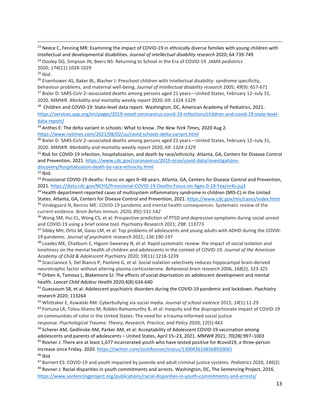<sup>23</sup> Neece C, Fenning MR: Examining the impact of COVID-19 in ethnically diverse families with young children with intellectual and developmental disabilities. *Journal of intellectual disability research* 2020; 64:739-749

<sup>24</sup> Dooley DG, Simpson JN, Beers NS: Returning to School in the Era of COVID-19. *JAMA pediatrics* 2020; *174*(11):1028-1029

<sup>26</sup> Eisenhower AS, Baker BL, Blacher J: Preschool children with intellectual disability: syndrome specificity, behaviour problems, and maternal well-being. *Journal of intellectual disability research* 2005; *49*(9): 657-671 <sup>27</sup> Bixler D: SARS-CoV-2-associated deaths among persons aged 21 years—United States, February 12–July 31, 2020. *MMWR. Morbidity and mortality weekly report* 2020; 69: 1324-1329

<sup>28</sup> Children and COVID-19: State-level data report. Washington, DC, American Academy of Pediatrics, 2021. [https://services.aap.org/en/pages/2019-novel-coronavirus-covid-19-infections/children-and-covid-19-state-level](https://services.aap.org/en/pages/2019-novel-coronavirus-covid-19-infections/children-and-covid-19-state-level-data-report/)[data-report/](https://services.aap.org/en/pages/2019-novel-coronavirus-covid-19-infections/children-and-covid-19-state-level-data-report/)

<sup>29</sup> Anthes E: The delta variant in schools: What to know. *The New York Times,* 2020 Aug 2. <https://www.nytimes.com/2021/08/02/us/covid-schools-delta-variant.html>

<sup>30</sup> Bixler D: SARS-CoV-2-associated deaths among persons aged 21 years—United States, February 12-July 31, 2020. *MMWR. Morbidity and mortality weekly report* 2020; *69: 1324-1329*

<sup>31</sup> Risk for COVID-19 infection, hospitalization, and death by race/ethnicity. Atlanta, GA, Centers for Disease Control and Prevention, 2021. [https://www.cdc.gov/coronavirus/2019-ncov/covid-data/investigations](https://www.cdc.gov/coronavirus/2019-ncov/covid-data/investigations-discovery/hospitalization-death-by-race-ethnicity.html)[discovery/hospitalization-death-by-race-ethnicity.html](https://www.cdc.gov/coronavirus/2019-ncov/covid-data/investigations-discovery/hospitalization-death-by-race-ethnicity.html)

 $32$  Ibid.

33 Provisional COVID-19 deaths: Focus on ages 0–48 years. Atlanta, GA, Centers for Disease Control and Prevention, 2021.<https://data.cdc.gov/NCHS/Provisional-COVID-19-Deaths-Focus-on-Ages-0-18-Yea/nr4s-juj3>

<sup>34</sup> Health department-reported cases of multisystem inflammatory syndrome in children (MIS-C) in the United States. Atlanta, GA, Centers for Disease Control and Prevention, 2021[. https://www.cdc.gov/mis/cases/index.html](https://www.cdc.gov/mis/cases/index.html) <sup>35</sup> Vindegaard N, Benros ME: COVID-19 pandemic and mental health consequences: Systematic review of the current evidence. *Brain Behav Immun. 2020; 89():531-542*

<sup>36</sup> Wong SM, Hui CL, Wong CS, et al: Prospective prediction of PTSD and depressive symptoms during social unrest and COVID-19 using a brief online tool. *Psychiatry Research* 2021; *298*: 113773

<sup>37</sup> Sibley MH, Ortiz M, Gaias LM, et al: Top problems of adolescents and young adults with ADHD during the COVID-19 pandemic. *Journal of psychiatric research* 2021; *136*:190-197

<sup>38</sup> Loades ME, Chatburn E, Higson-Sweeney N, et al: Rapid systematic review: the impact of social isolation and loneliness on the mental health of children and adolescents in the context of COVID-19. *Journal of the American Academy of Child & Adolescent Psychiatry* 2020; *59*(11):1218-1239

<sup>39</sup> Scaccianoce S, Del Bianco P, Paolone G, et al: Social isolation selectively reduces hippocampal brain-derived neurotrophic factor without altering plasma corticosterone. *Behavioral brain research* 2006, *168*(2), 323-325 <sup>40</sup> Orben A, Tomova L, Blakemore SJ: The effects of social deprivation on adolescent development and mental

health. *Lancet Child Adolesc Health* 2020;4(8):634-640

<sup>41</sup> Guessoum SB, et al: Adolescent psychiatric disorders during the COVID-19 pandemic and lockdown. *Psychiatry research* 2020; 113264

<sup>42</sup> Whittaker E, Kowalski RM: Cyberbullying via social media. *Journal of school violence* 2015; *14*(1):11-29

43 Fortuna LR, Tolou-Shams M, Robles-Ramamurthy B, et al: Inequity and the disproportionate impact of COVID-19 on communities of color in the United States: The need for a trauma-informed social justice

response. *Psychological Trauma: Theory, Research, Practice, and Policy* 2020; *12*(5):443

<sup>44</sup> Scherer AM, Gedlinske AM, Parker AM, et al: Acceptability of Adolescent COVID-19 vaccination among adolescents and parents of adolescents – United States, April 15–23, 2021. *MMWR* 2021; 70(28):997–1003

<sup>45</sup> Rovner J: There are at least 1,677 incarcerated youth who have tested positive for #covid19, a three-person increase since Friday. 2020.<https://twitter.com/JoshRovner/status/1300436108568920065>  $46$  Ibid

<sup>47</sup> Barnert ES: COVID-19 and youth impacted by juvenile and adult criminal justice systems. *Pediatrics* 2020, *146*(2) 48 Rovner J: Racial disparities in youth commitments and arrests. Washington, DC, The Sentencing Project, 2016.

<https://www.sentencingproject.org/publications/racial-disparities-in-youth-commitments-and-arrests/>

 $25$  Ibid.